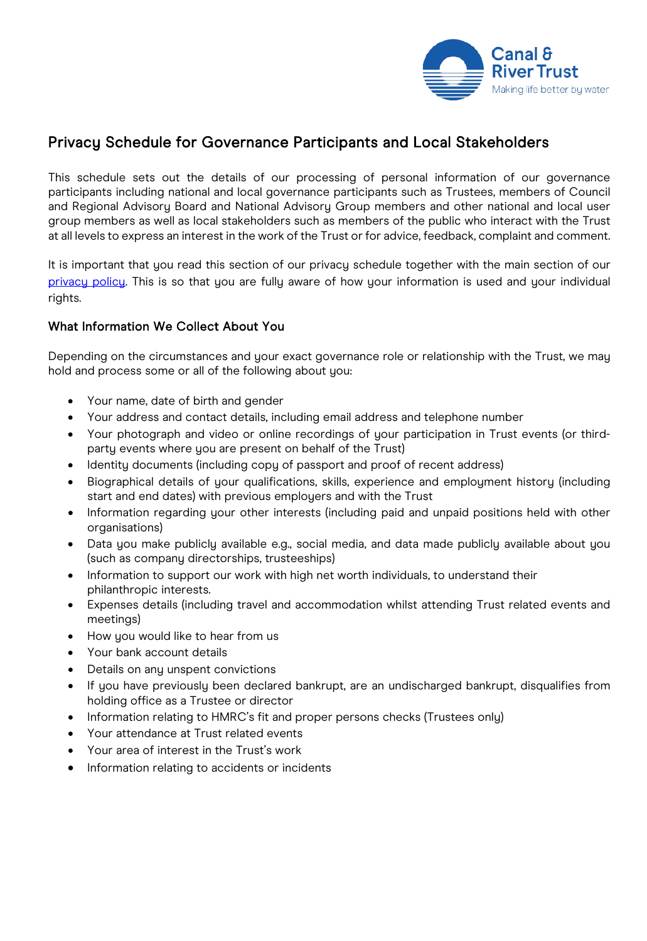

# Privacy Schedule for Governance Participants and Local Stakeholders

This schedule sets out the details of our processing of personal information of our governance participants including national and local governance participants such as Trustees, members of Council and Regional Advisory Board and National Advisory Group members and other national and local user group members as well as local stakeholders such as members of the public who interact with the Trust at all levels to express an interest in the work of the Trust or for advice, feedback, complaint and comment.

It is important that you read this section of our privacy schedule together with the main section of our [privacy policy.](https://canalrivertrust.org.uk/cookie-and-privacy-policy) This is so that you are fully aware of how your information is used and your individual rights.

## What Information We Collect About You

Depending on the circumstances and your exact governance role or relationship with the Trust, we may hold and process some or all of the following about you:

- Your name, date of birth and gender
- Your address and contact details, including email address and telephone number
- Your photograph and video or online recordings of your participation in Trust events (or thirdparty events where you are present on behalf of the Trust)
- Identity documents (including copy of passport and proof of recent address)
- Biographical details of your qualifications, skills, experience and employment history (including start and end dates) with previous employers and with the Trust
- Information regarding your other interests (including paid and unpaid positions held with other organisations)
- Data you make publicly available e.g., social media, and data made publicly available about you (such as company directorships, trusteeships)
- Information to support our work with high net worth individuals, to understand their philanthropic interests.
- Expenses details (including travel and accommodation whilst attending Trust related events and meetings)
- How you would like to hear from us
- Your bank account details
- Details on any unspent convictions
- If you have previously been declared bankrupt, are an undischarged bankrupt, disqualifies from holding office as a Trustee or director
- Information relating to HMRC's fit and proper persons checks (Trustees only)
- Your attendance at Trust related events
- Your area of interest in the Trust's work
- Information relating to accidents or incidents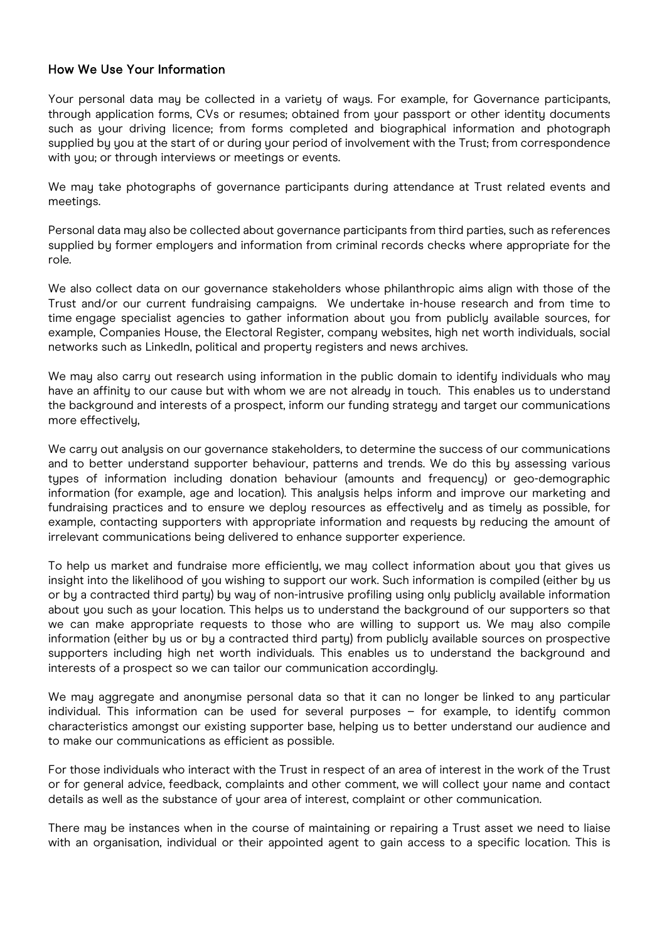## How We Use Your Information

Your personal data may be collected in a variety of ways. For example, for Governance participants, through application forms, CVs or resumes; obtained from your passport or other identity documents such as your driving licence; from forms completed and biographical information and photograph supplied by you at the start of or during your period of involvement with the Trust; from correspondence with you; or through interviews or meetings or events.

We may take photographs of governance participants during attendance at Trust related events and meetings.

Personal data may also be collected about governance participants from third parties, such as references supplied by former employers and information from criminal records checks where appropriate for the role.

We also collect data on our governance stakeholders whose philanthropic aims align with those of the Trust and/or our current fundraising campaigns. We undertake in-house research and from time to time engage specialist agencies to gather information about you from publicly available sources, for example, Companies House, the Electoral Register, company websites, high net worth individuals, social networks such as LinkedIn, political and property registers and news archives.

We may also carry out research using information in the public domain to identify individuals who may have an affinity to our cause but with whom we are not already in touch. This enables us to understand the background and interests of a prospect, inform our funding strategy and target our communications more effectively,

We carry out analysis on our governance stakeholders, to determine the success of our communications and to better understand supporter behaviour, patterns and trends. We do this by assessing various types of information including donation behaviour (amounts and frequency) or geo-demographic information (for example, age and location). This analysis helps inform and improve our marketing and fundraising practices and to ensure we deploy resources as effectively and as timely as possible, for example, contacting supporters with appropriate information and requests by reducing the amount of irrelevant communications being delivered to enhance supporter experience.

To help us market and fundraise more efficiently, we may collect information about you that gives us insight into the likelihood of you wishing to support our work. Such information is compiled (either by us or by a contracted third party) by way of non-intrusive profiling using only publicly available information about you such as your location. This helps us to understand the background of our supporters so that we can make appropriate requests to those who are willing to support us. We may also compile information (either by us or by a contracted third party) from publicly available sources on prospective supporters including high net worth individuals. This enables us to understand the background and interests of a prospect so we can tailor our communication accordingly.

We may aggregate and anonymise personal data so that it can no longer be linked to any particular individual. This information can be used for several purposes – for example, to identify common characteristics amongst our existing supporter base, helping us to better understand our audience and to make our communications as efficient as possible.

For those individuals who interact with the Trust in respect of an area of interest in the work of the Trust or for general advice, feedback, complaints and other comment, we will collect your name and contact details as well as the substance of your area of interest, complaint or other communication.

There may be instances when in the course of maintaining or repairing a Trust asset we need to liaise with an organisation, individual or their appointed agent to gain access to a specific location. This is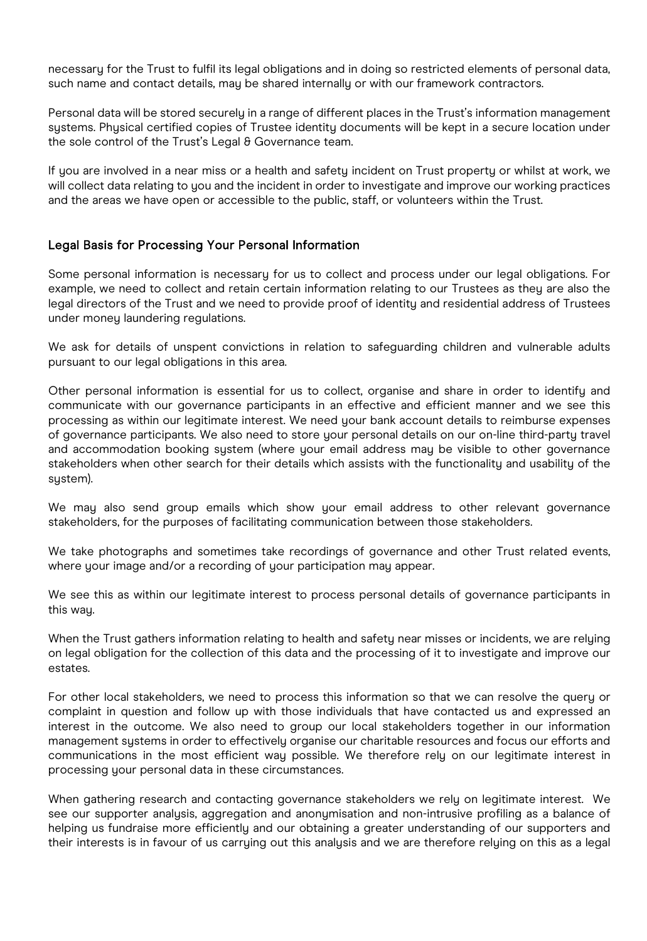necessary for the Trust to fulfil its legal obligations and in doing so restricted elements of personal data, such name and contact details, may be shared internally or with our framework contractors.

Personal data will be stored securely in a range of different places in the Trust's information management systems. Physical certified copies of Trustee identity documents will be kept in a secure location under the sole control of the Trust's Legal & Governance team.

If you are involved in a near miss or a health and safety incident on Trust property or whilst at work, we will collect data relating to you and the incident in order to investigate and improve our working practices and the areas we have open or accessible to the public, staff, or volunteers within the Trust.

### Legal Basis for Processing Your Personal Information

Some personal information is necessary for us to collect and process under our legal obligations. For example, we need to collect and retain certain information relating to our Trustees as they are also the legal directors of the Trust and we need to provide proof of identity and residential address of Trustees under money laundering regulations.

We ask for details of unspent convictions in relation to safeguarding children and vulnerable adults pursuant to our legal obligations in this area.

Other personal information is essential for us to collect, organise and share in order to identify and communicate with our governance participants in an effective and efficient manner and we see this processing as within our legitimate interest. We need your bank account details to reimburse expenses of governance participants. We also need to store your personal details on our on-line third-party travel and accommodation booking system (where your email address may be visible to other governance stakeholders when other search for their details which assists with the functionality and usability of the system).

We may also send group emails which show your email address to other relevant governance stakeholders, for the purposes of facilitating communication between those stakeholders.

We take photographs and sometimes take recordings of governance and other Trust related events, where your image and/or a recording of your participation may appear.

We see this as within our legitimate interest to process personal details of governance participants in this way.

When the Trust gathers information relating to health and safety near misses or incidents, we are relying on legal obligation for the collection of this data and the processing of it to investigate and improve our estates.

For other local stakeholders, we need to process this information so that we can resolve the query or complaint in question and follow up with those individuals that have contacted us and expressed an interest in the outcome. We also need to group our local stakeholders together in our information management systems in order to effectively organise our charitable resources and focus our efforts and communications in the most efficient way possible. We therefore rely on our legitimate interest in processing your personal data in these circumstances.

When gathering research and contacting governance stakeholders we rely on legitimate interest. We see our supporter analysis, aggregation and anonymisation and non-intrusive profiling as a balance of helping us fundraise more efficiently and our obtaining a greater understanding of our supporters and their interests is in favour of us carrying out this analysis and we are therefore relying on this as a legal